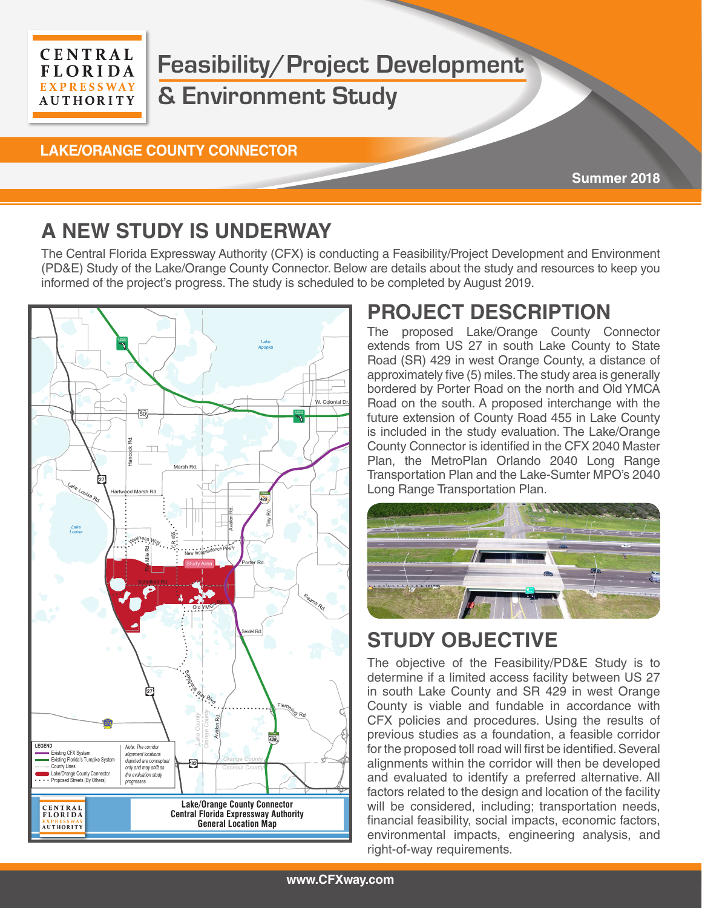#### **CENTRAL FLORIDA EXPRESSWAY AUTHORITY**

# **Feasibility/Project Development & Environment Study**

#### **LAKE/ORANGE COUNTY CONNECTOR**

**Summer 2018**

## **A NEW STUDY IS UNDERWAY**

The Central Florida Expressway Authority (CFX) is conducting a Feasibility/Project Development and Environment (PD&E) Study of the Lake/Orange County Connector. Below are details about the study and resources to keep you informed of the project's progress. The study is scheduled to be completed by August 2019.



## **PROJECT DESCRIPTION**

The proposed Lake/Orange County Connector extends from US 27 in south Lake County to State Road (SR) 429 in west Orange County, a distance of approximately five (5) miles. The study area is generally bordered by Porter Road on the north and Old YMCA Road on the south. A proposed interchange with the future extension of County Road 455 in Lake County is included in the study evaluation. The Lake/Orange County Connector is identified in the CFX 2040 Master Plan, the MetroPlan Orlando 2040 Long Range Transportation Plan and the Lake-Sumter MPO's 2040 Long Range Transportation Plan.



## **STUDY OBJECTIVE** winter Garden View<br>C

The objective of the Feasibility/PD&E Study is to determine if a limited access facility between US 27 in south Lake County and SR 429 in west Orange County is viable and fundable in accordance with CFX policies and procedures. Using the results of previous studies as a foundation, a feasible corridor for the proposed toll road will first be identified. Several alignments within the corridor will then be developed 4 and evaluated to identify a preferred alternative. All factors related to the design and location of the facility will be considered, including; transportation needs, financial feasibility, social impacts, economic factors, environmental impacts, engineering analysis, and right-of-way requirements.